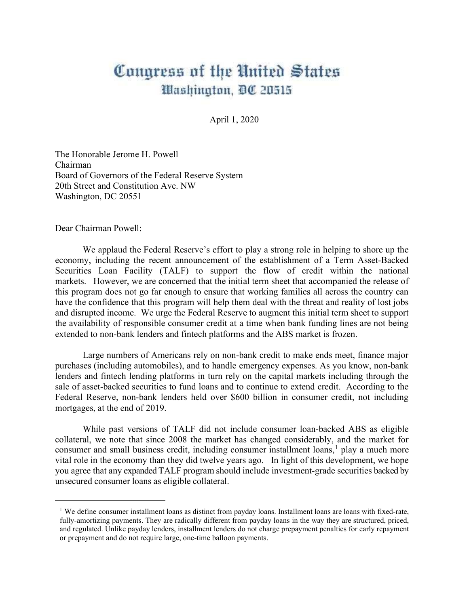## Congress of the United States Washington, DC 20515

April 1, 2020

The Honorable Jerome H. Powell Chairman Board of Governors of the Federal Reserve System 20th Street and Constitution Ave. NW Washington, DC 20551

Dear Chairman Powell:

We applaud the Federal Reserve's effort to play a strong role in helping to shore up the economy, including the recent announcement of the establishment of a Term Asset-Backed Securities Loan Facility (TALF) to support the flow of credit within the national markets. However, we are concerned that the initial term sheet that accompanied the release of this program does not go far enough to ensure that working families all across the country can have the confidence that this program will help them deal with the threat and reality of lost jobs and disrupted income. We urge the Federal Reserve to augment this initial term sheet to support the availability of responsible consumer credit at a time when bank funding lines are not being extended to non-bank lenders and fintech platforms and the ABS market is frozen.

Large numbers of Americans rely on non-bank credit to make ends meet, finance major purchases (including automobiles), and to handle emergency expenses. As you know, non-bank lenders and fintech lending platforms in turn rely on the capital markets including through the sale of asset-backed securities to fund loans and to continue to extend credit. According to the Federal Reserve, non-bank lenders held over \$600 billion in consumer credit, not including mortgages, at the end of 2019.

While past versions of TALF did not include consumer loan-backed ABS as eligible collateral, we note that since 2008 the market has changed considerably, and the market for consumer and small business credit, including consumer installment loans, $<sup>1</sup>$  play a much more</sup> vital role in the economy than they did twelve years ago. In light of this development, we hope you agree that any expanded TALF program should include investment-grade securities backed by unsecured consumer loans as eligible collateral.

<sup>&</sup>lt;sup>1</sup> We define consumer installment loans as distinct from payday loans. Installment loans are loans with fixed-rate, fully-amortizing payments. They are radically different from payday loans in the way they are structured, priced, and regulated. Unlike payday lenders, installment lenders do not charge prepayment penalties for early repayment or prepayment and do not require large, one-time balloon payments.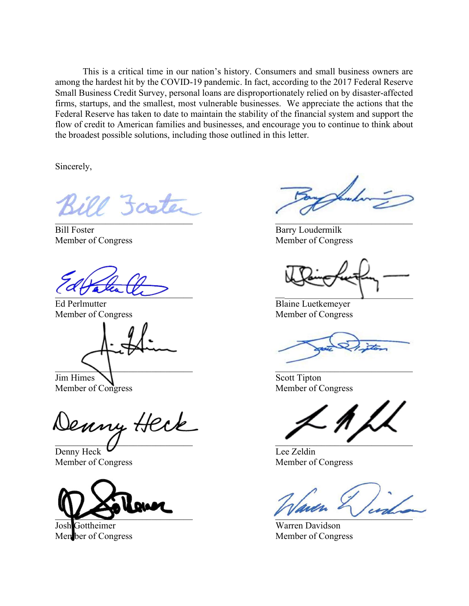This is a critical time in our nation's history. Consumers and small business owners are among the hardest hit by the COVID-19 pandemic. In fact, according to the 2017 Federal Reserve Small Business Credit Survey, personal loans are disproportionately relied on by disaster-affected firms, startups, and the smallest, most vulnerable businesses. We appreciate the actions that the Federal Reserve has taken to date to maintain the stability of the financial system and support the flow of credit to American families and businesses, and encourage you to continue to think about the broadest possible solutions, including those outlined in this letter.

Sincerely,

ill foote  $\mathcal{L} = \mathcal{L} \mathcal{L}$ 

Bill Foster Barry Loudermilk

 $\overline{a}$ 

Ed Perlmutter Blaine Luetkemeyer

 $\sum_{i=1}^n\frac{1}{i!}\sum_{j=1}^n\frac{1}{j!}\sum_{j=1}^n\frac{1}{j!}\sum_{j=1}^n\frac{1}{j!}\sum_{j=1}^n\frac{1}{j!}\sum_{j=1}^n\frac{1}{j!}\sum_{j=1}^n\frac{1}{j!}\sum_{j=1}^n\frac{1}{j!}\sum_{j=1}^n\frac{1}{j!}\sum_{j=1}^n\frac{1}{j!}\sum_{j=1}^n\frac{1}{j!}\sum_{j=1}^n\frac{1}{j!}\sum_{j=1}^n\frac{1}{j!}\sum_{j=1}^n\frac{$ 

Jim Himes  $\sum$ 

Denny Heck  $\overline{a}$  ,  $\overline{a}$  ,  $\overline{a}$  ,  $\overline{a}$  ,  $\overline{a}$  ,  $\overline{a}$  ,  $\overline{a}$  ,  $\overline{a}$  ,  $\overline{a}$  ,  $\overline{a}$  ,  $\overline{a}$  ,  $\overline{a}$  ,  $\overline{a}$  ,  $\overline{a}$  ,  $\overline{a}$  ,  $\overline{a}$  ,  $\overline{a}$  ,  $\overline{a}$  ,  $\overline{a}$  ,  $\overline{a}$  ,

 $Dennv$  Heck  $U$  Lee Zeldin Member of Congress Member of Congress



Josh Gottheimer Warren Davidson Member of Congress Member of Congress

Luk

Member of Congress Member of Congress

Member of Congress Member of Congress

Member of Congress Member of Congress

 $\sum_{i=1}^n a_i$